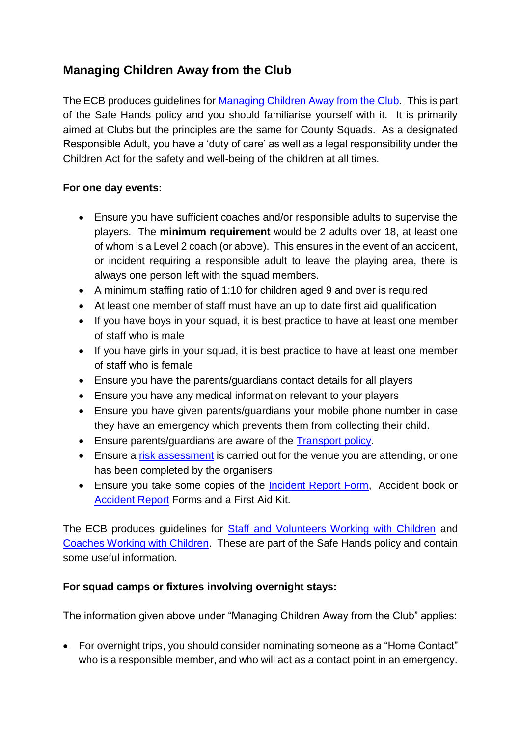## **Managing Children Away from the Club**

The ECB produces guidelines for Managing [Children Away from the Club.](http://pulse-static-files.s3.amazonaws.com/ecb/document/2016/08/25/5264c028-41de-46ea-8a7a-c635f3decce5/Guidelines_on_managing_children_away_from_the_club.pdf) This is part of the Safe Hands policy and you should familiarise yourself with it. It is primarily aimed at Clubs but the principles are the same for County Squads. As a designated Responsible Adult, you have a 'duty of care' as well as a legal responsibility under the Children Act for the safety and well-being of the children at all times.

## **For one day events:**

- Ensure you have sufficient coaches and/or responsible adults to supervise the players. The **minimum requirement** would be 2 adults over 18, at least one of whom is a Level 2 coach (or above). This ensures in the event of an accident, or incident requiring a responsible adult to leave the playing area, there is always one person left with the squad members.
- A minimum staffing ratio of 1:10 for children aged 9 and over is required
- At least one member of staff must have an up to date first aid qualification
- If you have boys in your squad, it is best practice to have at least one member of staff who is male
- If you have girls in your squad, it is best practice to have at least one member of staff who is female
- Ensure you have the parents/guardians contact details for all players
- Ensure you have any medical information relevant to your players
- Ensure you have given parents/guardians your mobile phone number in case they have an emergency which prevents them from collecting their child.
- Ensure parents/guardians are aware of the Transport policy.
- Ensure a risk assessment is carried out for the venue you are attending, or one has been completed by the organisers
- Ensure you take some copies of the Incident Report Form, Accident book or Accident Report Forms and a First Aid Kit.

The ECB produces guidelines for [Staff and Volunteers Working with Children](http://pulse-static-files.s3.amazonaws.com/ecb/document/2016/08/25/3e78c3d5-e073-4588-9eb3-48349ea6dff6/Guidance_for_staff_and_volunteers_working_with_children.pdf) and [Coaches Working with Children.](http://pulse-static-files.s3.amazonaws.com/ecb/document/2016/08/25/1f43e6f0-dfff-4bfc-8677-4285c75ad336/Guidance_for_coaches_working_with_children.pdf) These are part of the Safe Hands policy and contain some useful information.

## **For squad camps or fixtures involving overnight stays:**

The information given above under "Managing Children Away from the Club" applies:

• For overnight trips, you should consider nominating someone as a "Home Contact" who is a responsible member, and who will act as a contact point in an emergency.